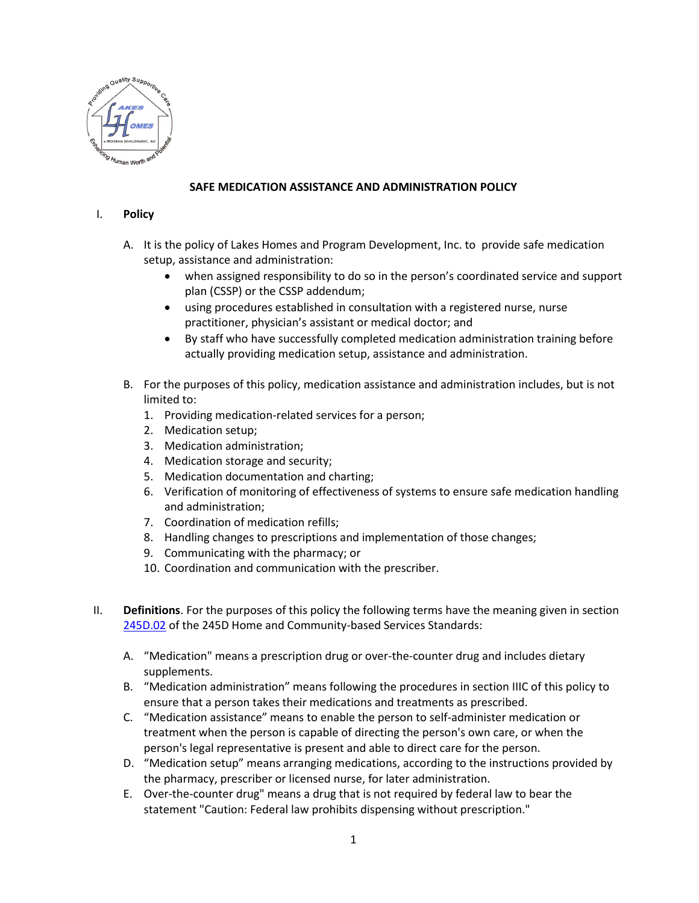

## **SAFE MEDICATION ASSISTANCE AND ADMINISTRATION POLICY**

## I. **Policy**

- A. It is the policy of Lakes Homes and Program Development, Inc. to provide safe medication setup, assistance and administration:
	- when assigned responsibility to do so in the person's coordinated service and support plan (CSSP) or the CSSP addendum;
	- using procedures established in consultation with a registered nurse, nurse practitioner, physician's assistant or medical doctor; and
	- By staff who have successfully completed medication administration training before actually providing medication setup, assistance and administration.
- B. For the purposes of this policy, medication assistance and administration includes, but is not limited to:
	- 1. Providing medication-related services for a person;
	- 2. Medication setup;
	- 3. Medication administration;
	- 4. Medication storage and security;
	- 5. Medication documentation and charting;
	- 6. Verification of monitoring of effectiveness of systems to ensure safe medication handling and administration;
	- 7. Coordination of medication refills;
	- 8. Handling changes to prescriptions and implementation of those changes;
	- 9. Communicating with the pharmacy; or
	- 10. Coordination and communication with the prescriber.
- II. **Definitions**. For the purposes of this policy the following terms have the meaning given in section [245D.02](https://www.revisor.mn.gov/statutes/?id=245D.02) of the 245D Home and Community-based Services Standards:
	- A. "Medication" means a prescription drug or over-the-counter drug and includes dietary supplements.
	- B. "Medication administration" means following the procedures in section IIIC of this policy to ensure that a person takes their medications and treatments as prescribed.
	- C. "Medication assistance" means to enable the person to self-administer medication or treatment when the person is capable of directing the person's own care, or when the person's legal representative is present and able to direct care for the person.
	- D. "Medication setup" means arranging medications, according to the instructions provided by the pharmacy, prescriber or licensed nurse, for later administration.
	- E. Over-the-counter drug" means a drug that is not required by federal law to bear the statement "Caution: Federal law prohibits dispensing without prescription."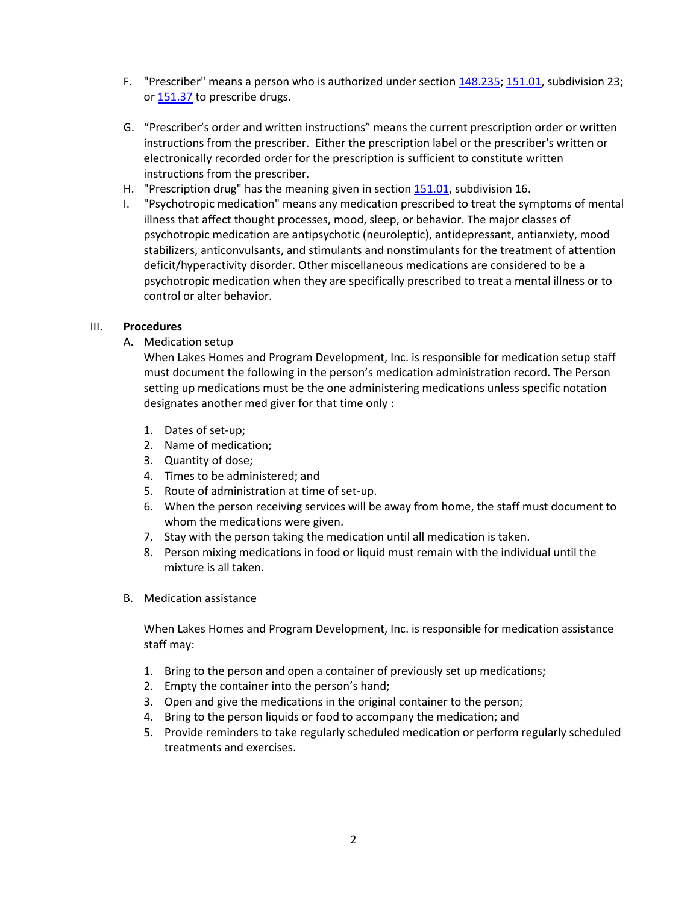- F. "Prescriber" means a person who is authorized under section [148.235;](https://www.revisor.mn.gov/statutes/?id=148.235) [151.01,](https://www.revisor.mn.gov/statutes/?id=151.01) subdivision 23; or [151.37](https://www.revisor.mn.gov/statutes/?id=151.37) to prescribe drugs.
- G. "Prescriber's order and written instructions" means the current prescription order or written instructions from the prescriber. Either the prescription label or the prescriber's written or electronically recorded order for the prescription is sufficient to constitute written instructions from the prescriber.
- H. "Prescription drug" has the meaning given in sectio[n 151.01,](https://www.revisor.mn.gov/statutes/?id=151.01) subdivision 16.
- I. "Psychotropic medication" means any medication prescribed to treat the symptoms of mental illness that affect thought processes, mood, sleep, or behavior. The major classes of psychotropic medication are antipsychotic (neuroleptic), antidepressant, antianxiety, mood stabilizers, anticonvulsants, and stimulants and nonstimulants for the treatment of attention deficit/hyperactivity disorder. Other miscellaneous medications are considered to be a psychotropic medication when they are specifically prescribed to treat a mental illness or to control or alter behavior.

## III. **Procedures**

A. Medication setup

When Lakes Homes and Program Development, Inc. is responsible for medication setup staff must document the following in the person's medication administration record. The Person setting up medications must be the one administering medications unless specific notation designates another med giver for that time only :

- 1. Dates of set-up;
- 2. Name of medication;
- 3. Quantity of dose;
- 4. Times to be administered; and
- 5. Route of administration at time of set-up.
- 6. When the person receiving services will be away from home, the staff must document to whom the medications were given.
- 7. Stay with the person taking the medication until all medication is taken.
- 8. Person mixing medications in food or liquid must remain with the individual until the mixture is all taken.
- B. Medication assistance

When Lakes Homes and Program Development, Inc. is responsible for medication assistance staff may:

- 1. Bring to the person and open a container of previously set up medications;
- 2. Empty the container into the person's hand;
- 3. Open and give the medications in the original container to the person;
- 4. Bring to the person liquids or food to accompany the medication; and
- 5. Provide reminders to take regularly scheduled medication or perform regularly scheduled treatments and exercises.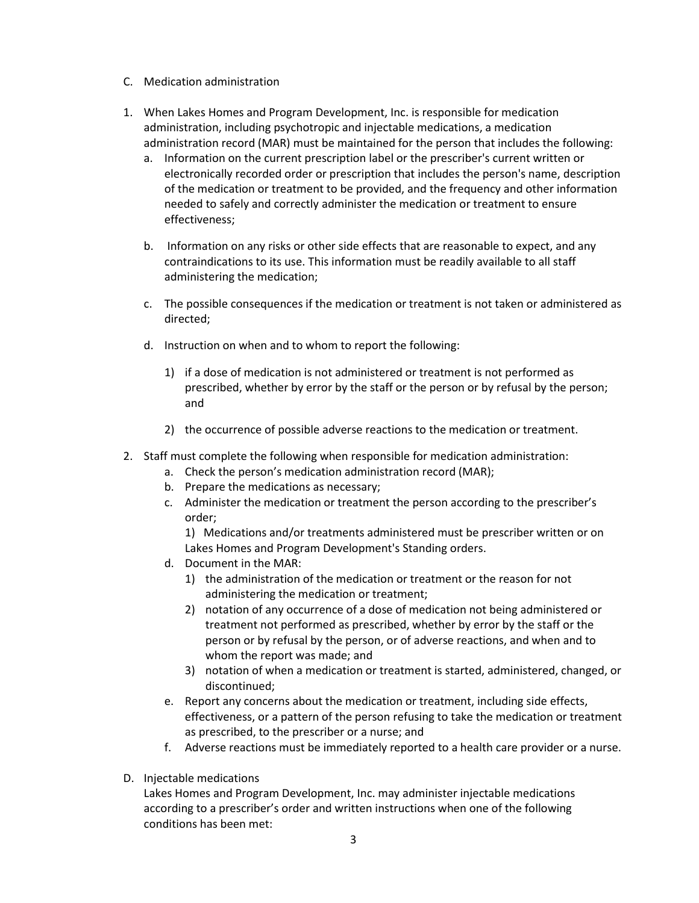- C. Medication administration
- 1. When Lakes Homes and Program Development, Inc. is responsible for medication administration, including psychotropic and injectable medications, a medication administration record (MAR) must be maintained for the person that includes the following:
	- a. Information on the current prescription label or the prescriber's current written or electronically recorded order or prescription that includes the person's name, description of the medication or treatment to be provided, and the frequency and other information needed to safely and correctly administer the medication or treatment to ensure effectiveness;
	- b. Information on any risks or other side effects that are reasonable to expect, and any contraindications to its use. This information must be readily available to all staff administering the medication;
	- c. The possible consequences if the medication or treatment is not taken or administered as directed;
	- d. Instruction on when and to whom to report the following:
		- 1) if a dose of medication is not administered or treatment is not performed as prescribed, whether by error by the staff or the person or by refusal by the person; and
		- 2) the occurrence of possible adverse reactions to the medication or treatment.
- 2. Staff must complete the following when responsible for medication administration:
	- a. Check the person's medication administration record (MAR);
	- b. Prepare the medications as necessary;
	- c. Administer the medication or treatment the person according to the prescriber's order;

1) Medications and/or treatments administered must be prescriber written or on Lakes Homes and Program Development's Standing orders.

- d. Document in the MAR:
	- 1) the administration of the medication or treatment or the reason for not administering the medication or treatment;
	- 2) notation of any occurrence of a dose of medication not being administered or treatment not performed as prescribed, whether by error by the staff or the person or by refusal by the person, or of adverse reactions, and when and to whom the report was made; and
	- 3) notation of when a medication or treatment is started, administered, changed, or discontinued;
- e. Report any concerns about the medication or treatment, including side effects, effectiveness, or a pattern of the person refusing to take the medication or treatment as prescribed, to the prescriber or a nurse; and
- f. Adverse reactions must be immediately reported to a health care provider or a nurse.
- D. Injectable medications

Lakes Homes and Program Development, Inc. may administer injectable medications according to a prescriber's order and written instructions when one of the following conditions has been met: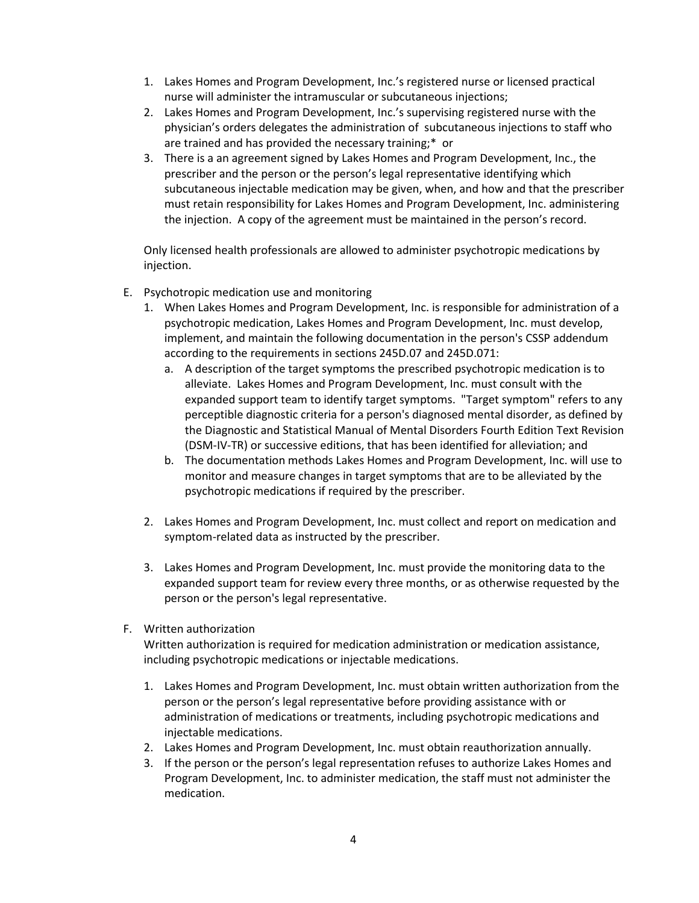- 1. Lakes Homes and Program Development, Inc.'s registered nurse or licensed practical nurse will administer the intramuscular or subcutaneous injections;
- 2. Lakes Homes and Program Development, Inc.'s supervising registered nurse with the physician's orders delegates the administration of subcutaneous injections to staff who are trained and has provided the necessary training;\* or
- 3. There is a an agreement signed by Lakes Homes and Program Development, Inc., the prescriber and the person or the person's legal representative identifying which subcutaneous injectable medication may be given, when, and how and that the prescriber must retain responsibility for Lakes Homes and Program Development, Inc. administering the injection. A copy of the agreement must be maintained in the person's record.

Only licensed health professionals are allowed to administer psychotropic medications by injection.

- E. Psychotropic medication use and monitoring
	- 1. When Lakes Homes and Program Development, Inc. is responsible for administration of a psychotropic medication, Lakes Homes and Program Development, Inc. must develop, implement, and maintain the following documentation in the person's CSSP addendum according to the requirements in sections 245D.07 and 245D.071:
		- a. A description of the target symptoms the prescribed psychotropic medication is to alleviate. Lakes Homes and Program Development, Inc. must consult with the expanded support team to identify target symptoms. "Target symptom" refers to any perceptible diagnostic criteria for a person's diagnosed mental disorder, as defined by the Diagnostic and Statistical Manual of Mental Disorders Fourth Edition Text Revision (DSM-IV-TR) or successive editions, that has been identified for alleviation; and
		- b. The documentation methods Lakes Homes and Program Development, Inc. will use to monitor and measure changes in target symptoms that are to be alleviated by the psychotropic medications if required by the prescriber.
	- 2. Lakes Homes and Program Development, Inc. must collect and report on medication and symptom-related data as instructed by the prescriber.
	- 3. Lakes Homes and Program Development, Inc. must provide the monitoring data to the expanded support team for review every three months, or as otherwise requested by the person or the person's legal representative.
- F. Written authorization

Written authorization is required for medication administration or medication assistance, including psychotropic medications or injectable medications.

- 1. Lakes Homes and Program Development, Inc. must obtain written authorization from the person or the person's legal representative before providing assistance with or administration of medications or treatments, including psychotropic medications and injectable medications.
- 2. Lakes Homes and Program Development, Inc. must obtain reauthorization annually.
- 3. If the person or the person's legal representation refuses to authorize Lakes Homes and Program Development, Inc. to administer medication, the staff must not administer the medication.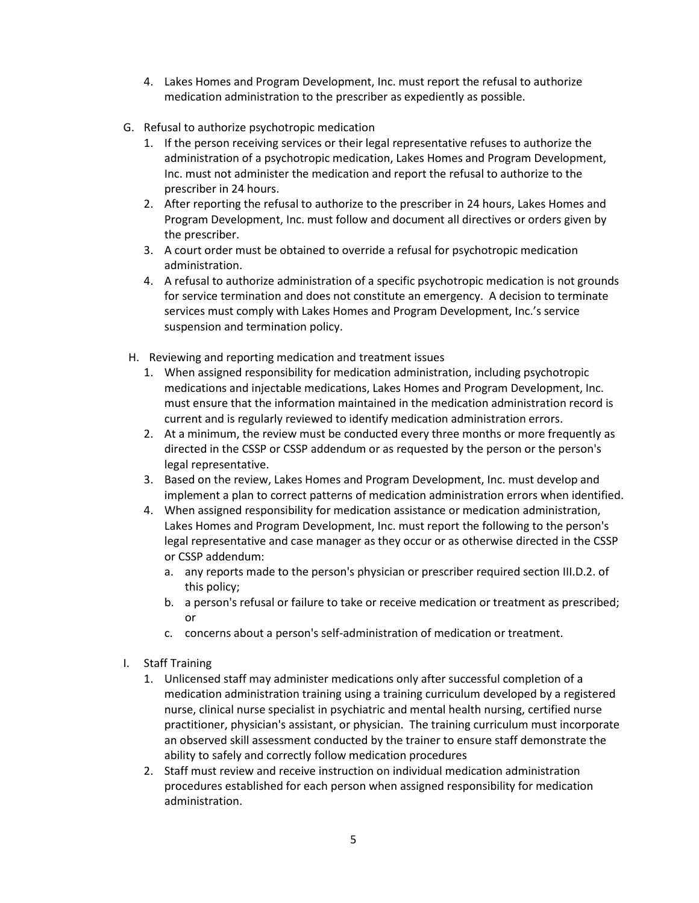- 4. Lakes Homes and Program Development, Inc. must report the refusal to authorize medication administration to the prescriber as expediently as possible.
- G. Refusal to authorize psychotropic medication
	- 1. If the person receiving services or their legal representative refuses to authorize the administration of a psychotropic medication, Lakes Homes and Program Development, Inc. must not administer the medication and report the refusal to authorize to the prescriber in 24 hours.
	- 2. After reporting the refusal to authorize to the prescriber in 24 hours, Lakes Homes and Program Development, Inc. must follow and document all directives or orders given by the prescriber.
	- 3. A court order must be obtained to override a refusal for psychotropic medication administration.
	- 4. A refusal to authorize administration of a specific psychotropic medication is not grounds for service termination and does not constitute an emergency. A decision to terminate services must comply with Lakes Homes and Program Development, Inc.'s service suspension and termination policy.
- H. Reviewing and reporting medication and treatment issues
	- 1. When assigned responsibility for medication administration, including psychotropic medications and injectable medications, Lakes Homes and Program Development, Inc. must ensure that the information maintained in the medication administration record is current and is regularly reviewed to identify medication administration errors.
	- 2. At a minimum, the review must be conducted every three months or more frequently as directed in the CSSP or CSSP addendum or as requested by the person or the person's legal representative.
	- 3. Based on the review, Lakes Homes and Program Development, Inc. must develop and implement a plan to correct patterns of medication administration errors when identified.
	- 4. When assigned responsibility for medication assistance or medication administration, Lakes Homes and Program Development, Inc. must report the following to the person's legal representative and case manager as they occur or as otherwise directed in the CSSP or CSSP addendum:
		- a. any reports made to the person's physician or prescriber required section III.D.2. of this policy;
		- b. a person's refusal or failure to take or receive medication or treatment as prescribed; or
		- c. concerns about a person's self-administration of medication or treatment.
- I. Staff Training
	- 1. Unlicensed staff may administer medications only after successful completion of a medication administration training using a training curriculum developed by a registered nurse, clinical nurse specialist in psychiatric and mental health nursing, certified nurse practitioner, physician's assistant, or physician. The training curriculum must incorporate an observed skill assessment conducted by the trainer to ensure staff demonstrate the ability to safely and correctly follow medication procedures
	- 2. Staff must review and receive instruction on individual medication administration procedures established for each person when assigned responsibility for medication administration.